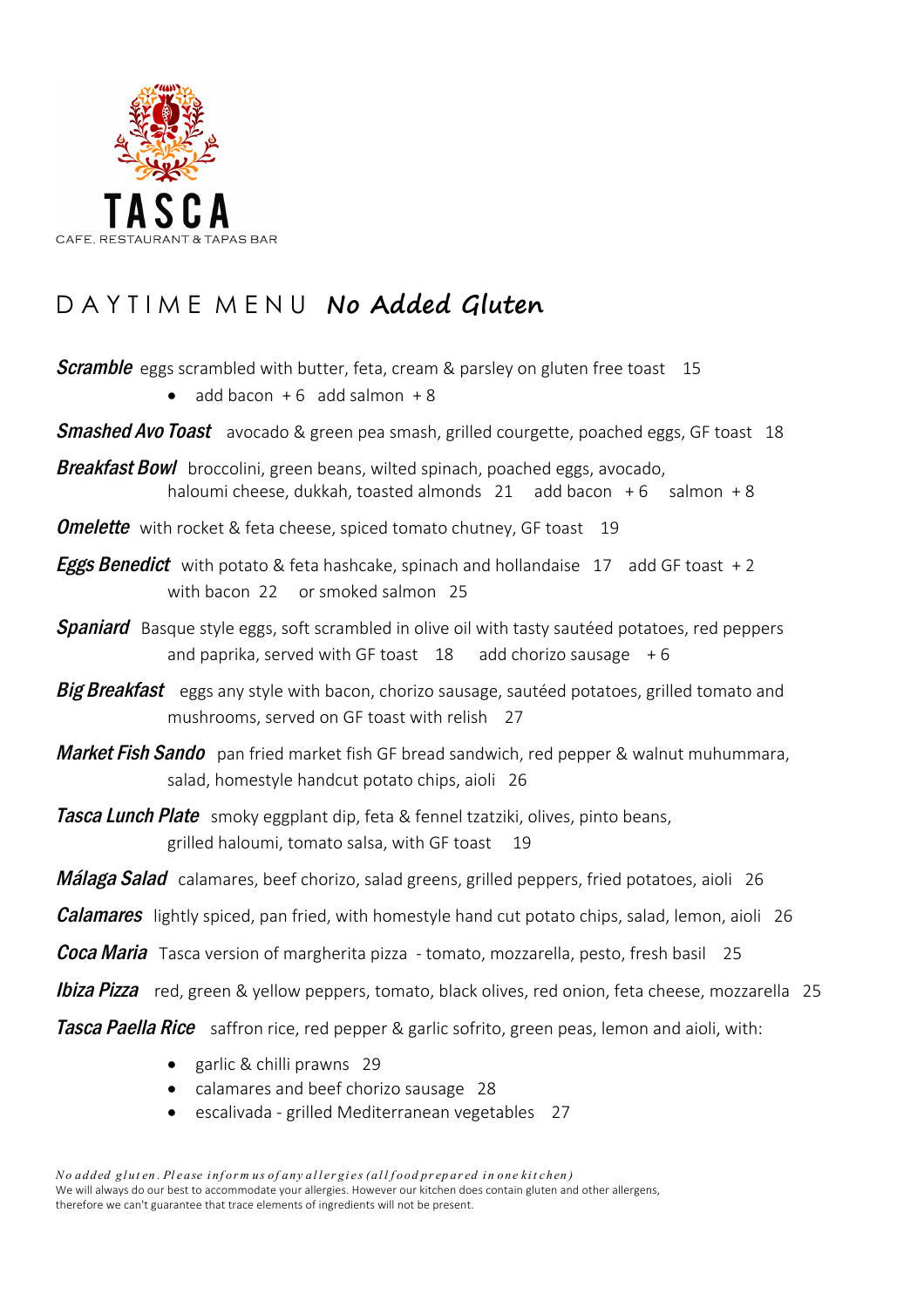

## D A Y T I M E M E N U **No Added Gluten**

**Scramble** eggs scrambled with butter, feta, cream & parsley on gluten free toast 15

 $\bullet$  add bacon  $+6$  add salmon  $+8$ 

**Smashed Avo Toast** avocado & green pea smash, grilled courgette, poached eggs, GF toast 18

Breakfast Bowl broccolini, green beans, wilted spinach, poached eggs, avocado, haloumi cheese, dukkah, toasted almonds  $21$  add bacon  $+6$  salmon  $+8$ 

**Omelette** with rocket & feta cheese, spiced tomato chutney, GF toast 19

- **Eggs Benedict** with potato & feta hashcake, spinach and hollandaise  $17$  add GF toast  $+2$ with bacon  $22$  or smoked salmon  $25$
- **Spaniard** Basque style eggs, soft scrambled in olive oil with tasty sautéed potatoes, red peppers and paprika, served with GF toast  $18$  add chorizo sausage  $+6$
- **Big Breakfast** eggs any style with bacon, chorizo sausage, sautéed potatoes, grilled tomato and mushrooms, served on GF toast with relish 27
- Market Fish Sando pan fried market fish GF bread sandwich, red pepper & walnut muhummara, salad, homestyle handcut potato chips, aioli 26
- **Tasca Lunch Plate** smoky eggplant dip, feta & fennel tzatziki, olives, pinto beans, grilled haloumi, tomato salsa, with GF toast 19
- **Málaga Salad** calamares, beef chorizo, salad greens, grilled peppers, fried potatoes, aioli 26
- **Calamares** lightly spiced, pan fried, with homestyle hand cut potato chips, salad, lemon, aioli 26

**Coca Maria** Tasca version of margherita pizza - tomato, mozzarella, pesto, fresh basil 25

**Ibiza Pizza** red, green & yellow peppers, tomato, black olives, red onion, feta cheese, mozzarella 25

**Tasca Paella Rice** saffron rice, red pepper & garlic sofrito, green peas, lemon and aioli, with:

- $\bullet$  garlic & chilli prawns 29
- calamares and beef chorizo sausage 28
- escalivada grilled Mediterranean vegetables 27